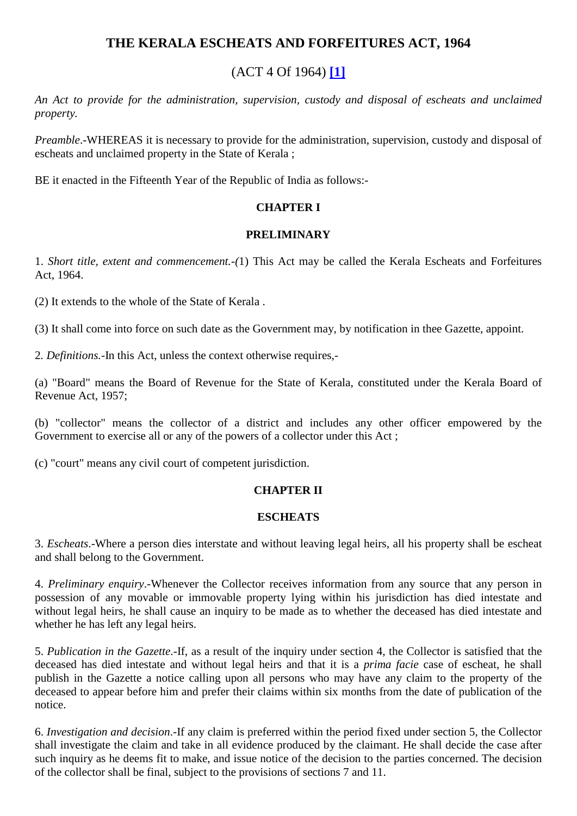## **THE KERALA ESCHEATS AND FORFEITURES ACT, 1964**

# (ACT 4 Of 1964) **[\[1\]](javascript:void(0))**

*An Act to provide for the administration, supervision, custody and disposal of escheats and unclaimed property.* 

*Preamble*.-WHEREAS it is necessary to provide for the administration, supervision, custody and disposal of escheats and unclaimed property in the State of Kerala ;

BE it enacted in the Fifteenth Year of the Republic of India as follows:-

### **CHAPTER I**

#### **PRELIMINARY**

1. *Short title, extent and commencement.-(*1) This Act may be called the Kerala Escheats and Forfeitures Act, 1964.

(2) It extends to the whole of the State of Kerala .

(3) It shall come into force on such date as the Government may, by notification in thee Gazette, appoint.

2*. Definitions.-*In this Act, unless the context otherwise requires,-

(a) "Board" means the Board of Revenue for the State of Kerala, constituted under the Kerala Board of Revenue Act, 1957;

(b) "collector" means the collector of a district and includes any other officer empowered by the Government to exercise all or any of the powers of a collector under this Act ;

(c) "court" means any civil court of competent jurisdiction.

### **CHAPTER II**

#### **ESCHEATS**

3. *Escheats*.-Where a person dies interstate and without leaving legal heirs, all his property shall be escheat and shall belong to the Government.

4. *Preliminary enquiry*.-Whenever the Collector receives information from any source that any person in possession of any movable or immovable property lying within his jurisdiction has died intestate and without legal heirs, he shall cause an inquiry to be made as to whether the deceased has died intestate and whether he has left any legal heirs.

5. *Publication in the Gazette*.-If, as a result of the inquiry under section 4, the Collector is satisfied that the deceased has died intestate and without legal heirs and that it is a *prima facie* case of escheat, he shall publish in the Gazette a notice calling upon all persons who may have any claim to the property of the deceased to appear before him and prefer their claims within six months from the date of publication of the notice.

6. *Investigation and decision*.-If any claim is preferred within the period fixed under section 5, the Collector shall investigate the claim and take in all evidence produced by the claimant. He shall decide the case after such inquiry as he deems fit to make, and issue notice of the decision to the parties concerned. The decision of the collector shall be final, subject to the provisions of sections 7 and 11.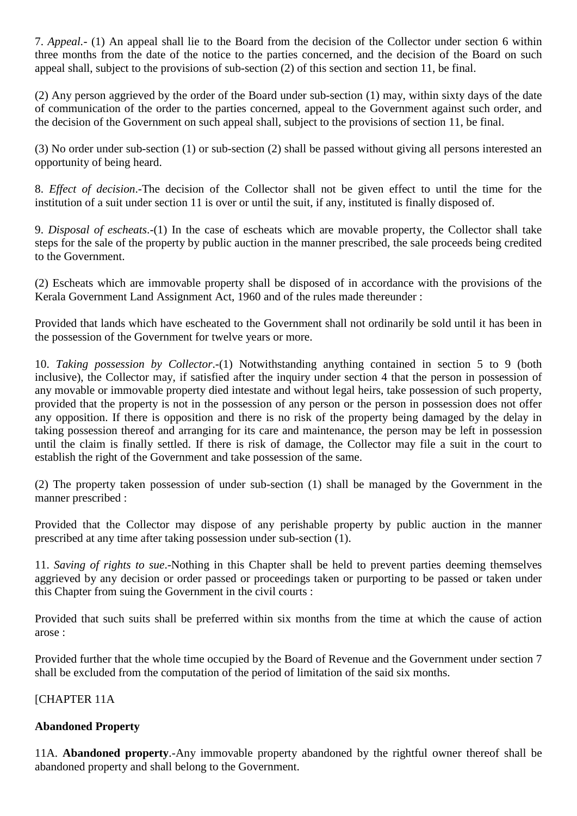7. *Appeal.-* (1) An appeal shall lie to the Board from the decision of the Collector under section 6 within three months from the date of the notice to the parties concerned, and the decision of the Board on such appeal shall, subject to the provisions of sub-section (2) of this section and section 11, be final.

(2) Any person aggrieved by the order of the Board under sub-section (1) may, within sixty days of the date of communication of the order to the parties concerned, appeal to the Government against such order, and the decision of the Government on such appeal shall, subject to the provisions of section 11, be final.

(3) No order under sub-section (1) or sub-section (2) shall be passed without giving all persons interested an opportunity of being heard.

8. *Effect of decision*.-The decision of the Collector shall not be given effect to until the time for the institution of a suit under section 11 is over or until the suit, if any, instituted is finally disposed of.

9. *Disposal of escheats*.-(1) In the case of escheats which are movable property, the Collector shall take steps for the sale of the property by public auction in the manner prescribed, the sale proceeds being credited to the Government.

(2) Escheats which are immovable property shall be disposed of in accordance with the provisions of the Kerala Government Land Assignment Act, 1960 and of the rules made thereunder :

Provided that lands which have escheated to the Government shall not ordinarily be sold until it has been in the possession of the Government for twelve years or more.

10. *Taking possession by Collector*.-(1) Notwithstanding anything contained in section 5 to 9 (both inclusive), the Collector may, if satisfied after the inquiry under section 4 that the person in possession of any movable or immovable property died intestate and without legal heirs, take possession of such property, provided that the property is not in the possession of any person or the person in possession does not offer any opposition. If there is opposition and there is no risk of the property being damaged by the delay in taking possession thereof and arranging for its care and maintenance, the person may be left in possession until the claim is finally settled. If there is risk of damage, the Collector may file a suit in the court to establish the right of the Government and take possession of the same.

(2) The property taken possession of under sub-section (1) shall be managed by the Government in the manner prescribed :

Provided that the Collector may dispose of any perishable property by public auction in the manner prescribed at any time after taking possession under sub-section (1).

11. *Saving of rights to sue*.-Nothing in this Chapter shall be held to prevent parties deeming themselves aggrieved by any decision or order passed or proceedings taken or purporting to be passed or taken under this Chapter from suing the Government in the civil courts :

Provided that such suits shall be preferred within six months from the time at which the cause of action arose :

Provided further that the whole time occupied by the Board of Revenue and the Government under section 7 shall be excluded from the computation of the period of limitation of the said six months.

### [CHAPTER 11A

### **Abandoned Property**

11A. **Abandoned property**.-Any immovable property abandoned by the rightful owner thereof shall be abandoned property and shall belong to the Government.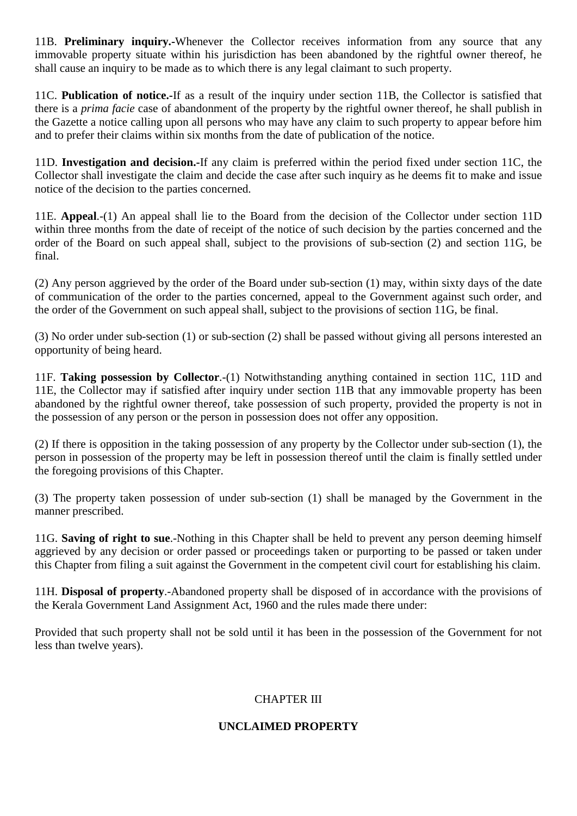11B. **Preliminary inquiry.-**Whenever the Collector receives information from any source that any immovable property situate within his jurisdiction has been abandoned by the rightful owner thereof, he shall cause an inquiry to be made as to which there is any legal claimant to such property.

11C. **Publication of notice.-**If as a result of the inquiry under section 11B, the Collector is satisfied that there is a *prima facie* case of abandonment of the property by the rightful owner thereof, he shall publish in the Gazette a notice calling upon all persons who may have any claim to such property to appear before him and to prefer their claims within six months from the date of publication of the notice.

11D. **Investigation and decision.-**If any claim is preferred within the period fixed under section 11C, the Collector shall investigate the claim and decide the case after such inquiry as he deems fit to make and issue notice of the decision to the parties concerned.

11E. **Appeal**.-(1) An appeal shall lie to the Board from the decision of the Collector under section 11D within three months from the date of receipt of the notice of such decision by the parties concerned and the order of the Board on such appeal shall, subject to the provisions of sub-section (2) and section 11G, be final.

(2) Any person aggrieved by the order of the Board under sub-section (1) may, within sixty days of the date of communication of the order to the parties concerned, appeal to the Government against such order, and the order of the Government on such appeal shall, subject to the provisions of section 11G, be final.

(3) No order under sub-section (1) or sub-section (2) shall be passed without giving all persons interested an opportunity of being heard.

11F. **Taking possession by Collector**.-(1) Notwithstanding anything contained in section 11C, 11D and 11E, the Collector may if satisfied after inquiry under section 11B that any immovable property has been abandoned by the rightful owner thereof, take possession of such property, provided the property is not in the possession of any person or the person in possession does not offer any opposition.

(2) If there is opposition in the taking possession of any property by the Collector under sub-section (1), the person in possession of the property may be left in possession thereof until the claim is finally settled under the foregoing provisions of this Chapter.

(3) The property taken possession of under sub-section (1) shall be managed by the Government in the manner prescribed.

11G. **Saving of right to sue**.-Nothing in this Chapter shall be held to prevent any person deeming himself aggrieved by any decision or order passed or proceedings taken or purporting to be passed or taken under this Chapter from filing a suit against the Government in the competent civil court for establishing his claim.

11H. **Disposal of property**.-Abandoned property shall be disposed of in accordance with the provisions of the Kerala Government Land Assignment Act, 1960 and the rules made there under:

Provided that such property shall not be sold until it has been in the possession of the Government for not less than twelve years).

## CHAPTER III

### **UNCLAIMED PROPERTY**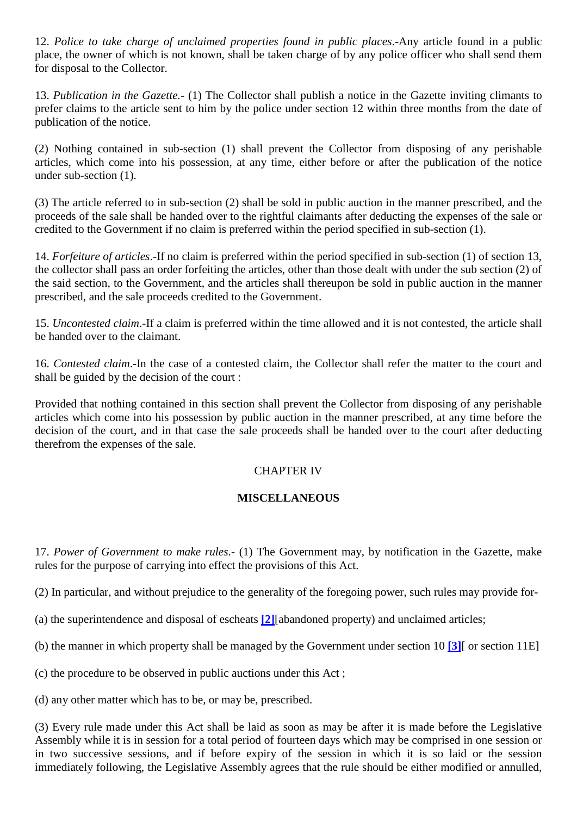12. *Police to take charge of unclaimed properties found in public places*.-Any article found in a public place, the owner of which is not known, shall be taken charge of by any police officer who shall send them for disposal to the Collector.

13. *Publication in the Gazette.-* (1) The Collector shall publish a notice in the Gazette inviting climants to prefer claims to the article sent to him by the police under section 12 within three months from the date of publication of the notice.

(2) Nothing contained in sub-section (1) shall prevent the Collector from disposing of any perishable articles, which come into his possession, at any time, either before or after the publication of the notice under sub-section (1).

(3) The article referred to in sub-section (2) shall be sold in public auction in the manner prescribed, and the proceeds of the sale shall be handed over to the rightful claimants after deducting the expenses of the sale or credited to the Government if no claim is preferred within the period specified in sub-section (1).

14. *Forfeiture of articles*.-If no claim is preferred within the period specified in sub-section (1) of section 13, the collector shall pass an order forfeiting the articles, other than those dealt with under the sub section (2) of the said section, to the Government, and the articles shall thereupon be sold in public auction in the manner prescribed, and the sale proceeds credited to the Government.

15. *Uncontested claim*.-If a claim is preferred within the time allowed and it is not contested, the article shall be handed over to the claimant.

16. *Contested claim*.-In the case of a contested claim, the Collector shall refer the matter to the court and shall be guided by the decision of the court :

Provided that nothing contained in this section shall prevent the Collector from disposing of any perishable articles which come into his possession by public auction in the manner prescribed, at any time before the decision of the court, and in that case the sale proceeds shall be handed over to the court after deducting therefrom the expenses of the sale.

### CHAPTER IV

### **MISCELLANEOUS**

17. *Power of Government to make rules*.- (1) The Government may, by notification in the Gazette, make rules for the purpose of carrying into effect the provisions of this Act.

(2) In particular, and without prejudice to the generality of the foregoing power, such rules may provide for-

(a) the superintendence and disposal of escheats **[\[2\]](javascript:void(0))**[abandoned property) and unclaimed articles;

(b) the manner in which property shall be managed by the Government under section 10 **[\[3\]](javascript:void(0))**[ or section 11E]

(c) the procedure to be observed in public auctions under this Act ;

(d) any other matter which has to be, or may be, prescribed.

(3) Every rule made under this Act shall be laid as soon as may be after it is made before the Legislative Assembly while it is in session for a total period of fourteen days which may be comprised in one session or in two successive sessions, and if before expiry of the session in which it is so laid or the session immediately following, the Legislative Assembly agrees that the rule should be either modified or annulled,